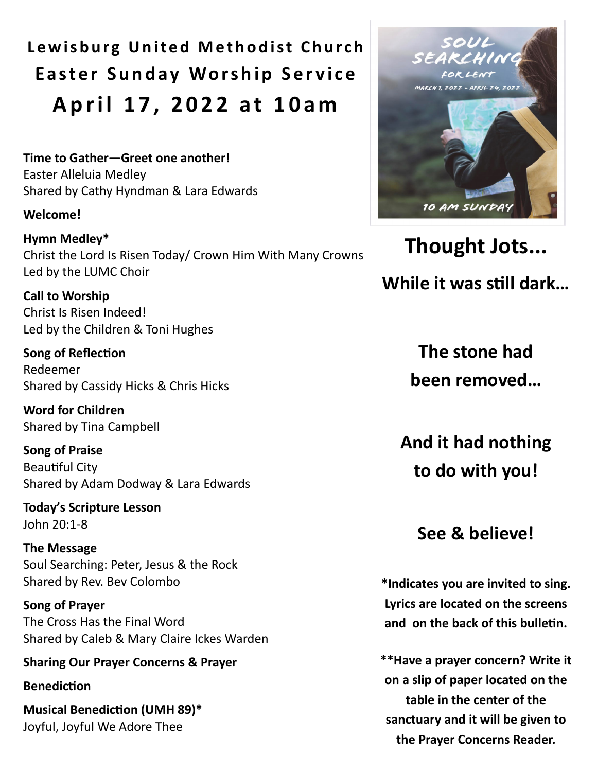Lewisburg United Methodist Church **Easter Sunday Worship Service A p r i l 1 7 , 2 0 2 2 a t 1 0 a m**

**Time to Gather—Greet one another!**  Easter Alleluia Medley Shared by Cathy Hyndman & Lara Edwards

#### **Welcome!**

**Hymn Medley\*** Christ the Lord Is Risen Today/ Crown Him With Many Crowns Led by the LUMC Choir

**Call to Worship** Christ Is Risen Indeed! Led by the Children & Toni Hughes

**Song of Reflection**  Redeemer Shared by Cassidy Hicks & Chris Hicks

**Word for Children** Shared by Tina Campbell

**Song of Praise** Beautiful City Shared by Adam Dodway & Lara Edwards

**Today's Scripture Lesson** John 20:1-8

**The Message** Soul Searching: Peter, Jesus & the Rock Shared by Rev. Bev Colombo

**Song of Prayer** The Cross Has the Final Word Shared by Caleb & Mary Claire Ickes Warden

**Sharing Our Prayer Concerns & Prayer**

**Benediction**

**Musical Benediction (UMH 89)\***  Joyful, Joyful We Adore Thee



**Thought Jots... While it was still dark…**

> **The stone had been removed…**

**And it had nothing to do with you!** 

**See & believe!**

**\*Indicates you are invited to sing. Lyrics are located on the screens and on the back of this bulletin.** 

**\*\*Have a prayer concern? Write it on a slip of paper located on the table in the center of the sanctuary and it will be given to the Prayer Concerns Reader.**